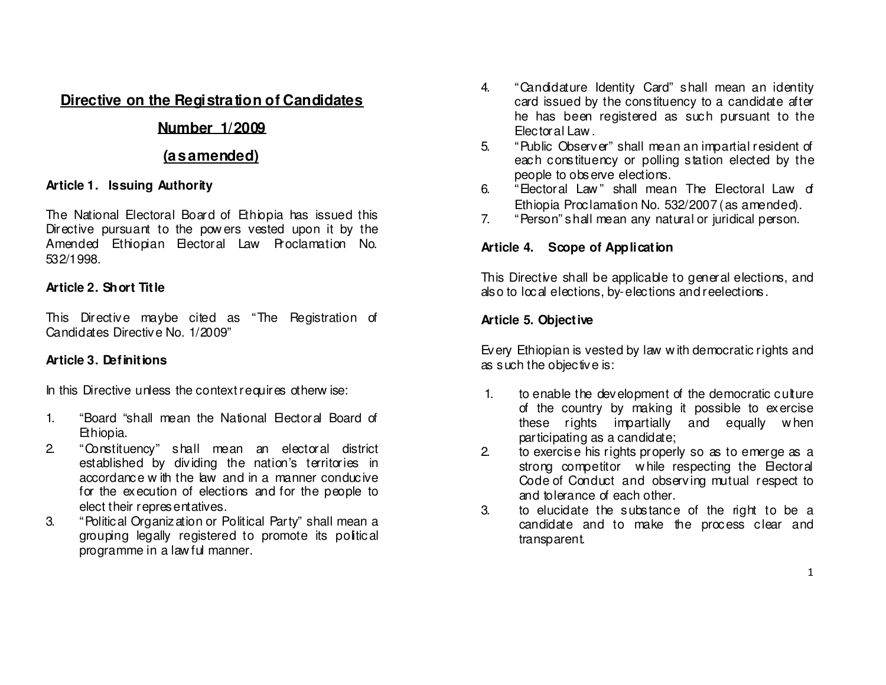# **Directive on the Registration of Candidates**

# **Number 1/2009**

# **(as amended)**

### **Article 1. Issuing Authority**

The National Electoral Board of Ethiopia has issued this Directive pursuant to the pow ers vested upon it by the Amended Ethiopian Electoral Law Proclamation No. 532/1998.

## **Article 2. Short Title**

This Directive maybe cited as "The Registration of Candidates Directive No. 1/2009"

# **Article 3. Definitions**

In this Directive unless the context requires otherw ise:

- 1. "Board "shall mean the National Electoral Board of Ethiopia.
- 2. "Constituency" shall mean an electoral district established by dividing the nation's territories in accordance w ith the law and in a manner conducive for the execution of elections and for the people to elect their representatives.
- 3. "Political Organization or Political Party" shall mean a grouping legally registered to promote its political programme in a law ful manner.
- 4. "Candidature Identity Card" shall mean an identity card issued by the constituency to a candidate after he has been registered as such pursuant to the Electoral Law .
- 5. "Public Observer" shall mean an impartial resident of each constituency or polling station elected by thepeople to observe elections.
- 6. "Electoral Law" shall mean The Electoral Law of Ethiopia Proclamation No. 532/2007 (as amended).
- 7. "Person" shall mean any natural or juridical person.

# **Article 4. Scope of Application**

This Directive shall be applicable to general elections, and also to local elections, by-elections and reelections.

# **Article 5. Objective**

Every Ethiopian is vested by law <sup>w</sup> ith democratic rights and as such the objective is:

- 1. to enable the development of the democratic culture of the country by making it possible to exercise these rights impartially and equally w hen participating as a candidate;
- 2. to exercise his rights properly so as to emerge as a strong competitor w hile respecting the Electoral Code of Conduct and observing mutual respect to and tolerance of each other.
- 3. to elucidate the substance of the right to be a candidate and to make the process clear and transparent.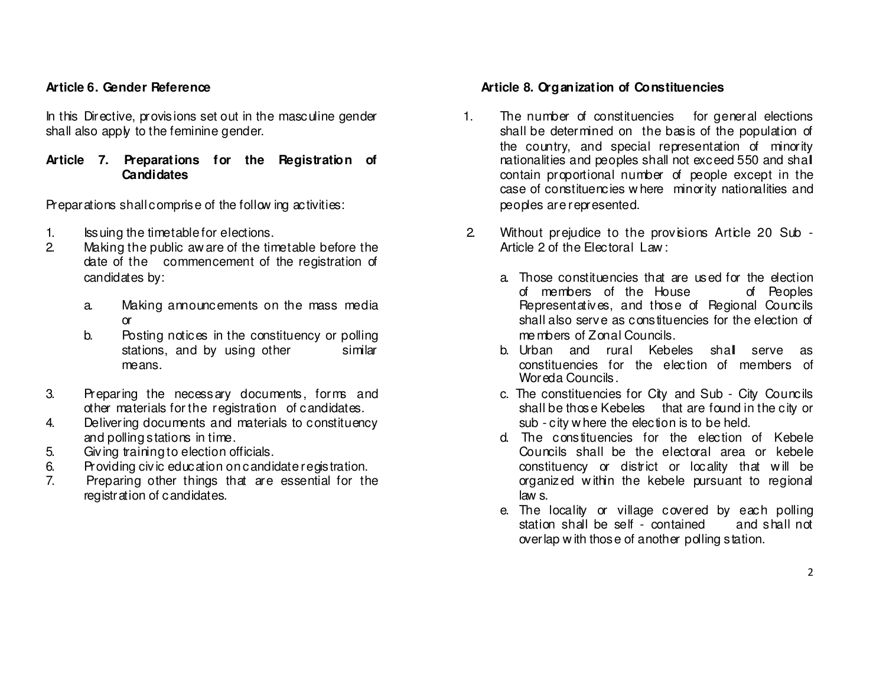#### **Article 6. Gender Reference**

In this Directive, provisions set out in the masculine gender shall also apply to the feminine gender.

#### **Article 7. Preparations for the Registration of Candidates**

Preparations shall comprise of the follow ing activities:

- 1. Issuing the timetable for elections.
- 2. Making the public aw are of the timetable before the date of the commencement of the registration of candidates by:
	- a. Making announcements on the mass media or
	- b. Posting notices in the constituency or polling stations, and by using other similar means.
- 3. Preparing the necessary documents, forms and other materials for the registration of candidates.
- 4. Delivering documents and materials to constituency and polling stations in time.
- 5. Giving training to election officials.
- 6. Providing civic education on candidate registration.
- 7. Preparing other things that are essential for the registration of candidates.

#### **Article 8. Organization of Constituencies**

- 1. The number of constituencies for general elections shall be determined on the basis of the population of the country, and special representation of minority nationalities and peoples shall not exceed 550 and shall contain proportional number of people except in the case of constituencies w here minority nationalities and peoples are represented.
- 2. Without prejudice to the provisions Article 20 Sub Article 2 of the Electoral Law:
	- a. Those constituencies that are used for the election of Peoples of members of the House Representatives, and those of Regional Councils shall also serve as constituencies for the election of me mbers of Zonal Councils.
	- b. Urban and rural Kebeles shall serve as constituencies for the election of members of Woreda Councils.
	- c. The constituencies for City and Sub City Councils shall be those Kebeles that are found in the city or sub - city w here the election is to be held.
	- d. The constituencies for the election of Kebele Councils shall be the electoral area or kebele constituency or district or locality that w ill be organized w ithin the kebele pursuant to regional law s.
	- e. The locality or village covered by each pollingand shall not station shall be self - contained overlap w ith those of another polling station.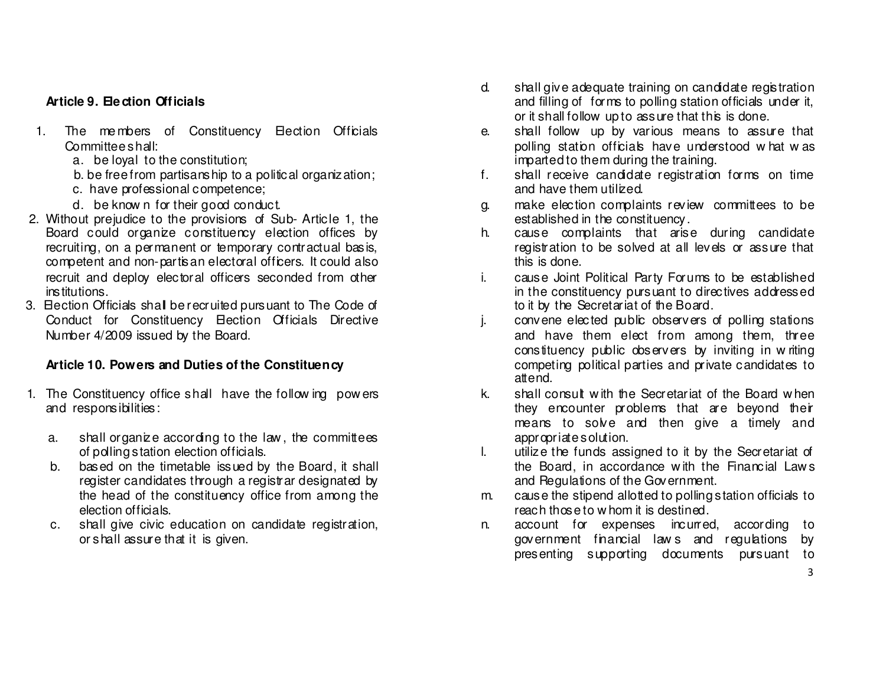### **Article 9. Ele ction Officials**

- 1. The members of Constituency Election Officials Committee shall:
	- a. be loyal to the constitution;
		- b. be free from partisanship to a political organization;
		- c. have professional competence;
	- d. be know n for their good conduct.
- 2. Without prejudice to the provisions of Sub- Article 1, the Board could organize constituency election offices by recruiting, on a permanent or temporary contractual basis, competent and non-partisan electoral officers. It could also recruit and deploy electoral officers seconded from other institutions.
- 3. Election Officials shall be recruited pursuant to The Code of Conduct for Constituency Election Officials Directive Number 4/2009 issued by the Board.

### **Article 10. Powers and Duties of the Constituency**

- 1. The Constituency office shall have the follow ing pow ers and responsibilities:
	- a. shall organize according to the law, the committees of polling station election officials.
	- b. based on the timetable issued by the Board, it shall register candidates through a registrar designated by the head of the constituency office from among the election officials.
	- c. shall give civic education on candidate registration, or shall assure that it is given.
- d. shall give adequate training on candidate registration and filling of forms to polling station officials under it, or it shall follow up to assure that this is done.
- e. shall follow up by various means to assure that polling station officials have understood what was imparted to them during the training.
- f. shall receive candidate registration forms on time and have them utilized.
- g. make election complaints review committees to be established in the constituency.
- h. cause complaints that arise during candidate registration to be solved at all levels or assure that this is done.
- i. cause Joint Political Party Forums to be established in the constituency pursuant to directives addressed to it by the Secretariat of the Board.
- j. convene elected public observers of polling stations and have them elect from among them, three constituency public observers by inviting in w riting competing political parties and private candidates to attend.
- k. shall consult w ith the Secretariat of the Board w hen they encounter problems that are beyond their means to solve and then give a timely and appropriate solution.
- l. utilize the funds assigned to it by the Secretariat of the Board, in accordance w ith the Financial Law <sup>s</sup> and Regulations of the Government.
- m. cause the stipend allotted to polling station officials to reach those to w hom it is destined.
- n. account for expenses incurred, according to government financial law s and regulations by presenting supporting documents pursuant to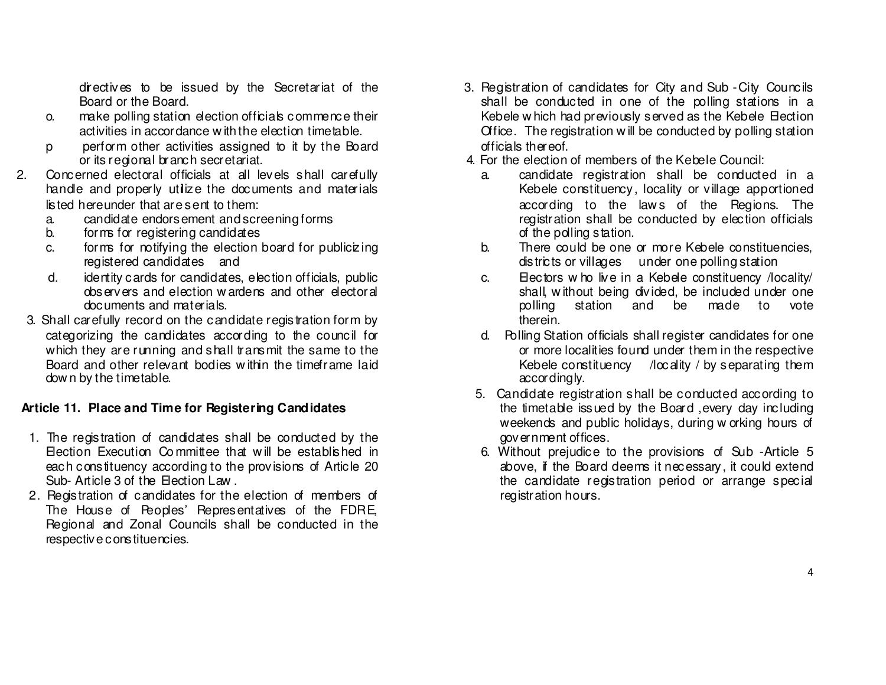directives to be issued by the Secretariat of the Board or the Board.

- o. make polling station election officials commence their activities in accordance w ith the election timetable.
- p perform other activities assigned to it by the Board or its regional branch secretariat.
- 2. Concerned electoral officials at all levels shall carefully handle and properly utilize the documents and materials listed hereunder that are sent to them:
- a. candidate endorsement and screening forms
	- b. forms for registering candidates
	- c. forms for notifying the election board for publicizing registered candidates and
	- d. identity cards for candidates, election officials, public observers and election w ardens and other electoral documents and materials.
- 3. Shall carefully record on the candidate registration form by categorizing the candidates according to the council for which they are running and shall transmit the same to the Board and other relevant bodies w ithin the timeframe laid dow n by the timetable.

## **Article 11. Place and Time for Registering Candidates**

- 1. The registration of candidates shall be conducted by the Election Execution Co mmittee that w ill be established in each constituency according to the provisions of Article 20 Sub- Article 3 of the Election Law.
- 2. Registration of candidates for the election of members of The House of Peoples' Representatives of the FDRE, Regional and Zonal Councils shall be conducted in the respective constituencies.
- 3. Registration of candidates for City and Sub -City Councils shall be conducted in one of the polling stations in a Kebele w hich had previously served as the Kebele Election Office. The registration w ill be conducted by polling station officials thereof.
- 4. For the election of members of the Kebele Council:
	- a. candidate registration shall be conducted in a Kebele constituency, locality or village apportioned according to the laws of the Regions. The registration shall be conducted by election officials of the polling station.
	- b. There could be one or more Kebele constituencies, districts or villages under one polling station
	- c. Electors w ho live in a Kebele constituency /locality/ shall, w ithout being divided, be included under onemade to vote polling station and be therein.
	- d. Polling Station officials shall register candidates for one or more localities found under them in the respective Kebele constituency /locality / by separating them accordingly.
	- 5. Candidate registration shall be conducted according to the timetable issued by the Board ,every day including weekends and public holidays, during w orking hours of government offices.
	- 6. Without prejudice to the provisions of Sub -Article 5 above, if the Board deems it necessary, it could extend the candidate registration period or arrange special registration hours.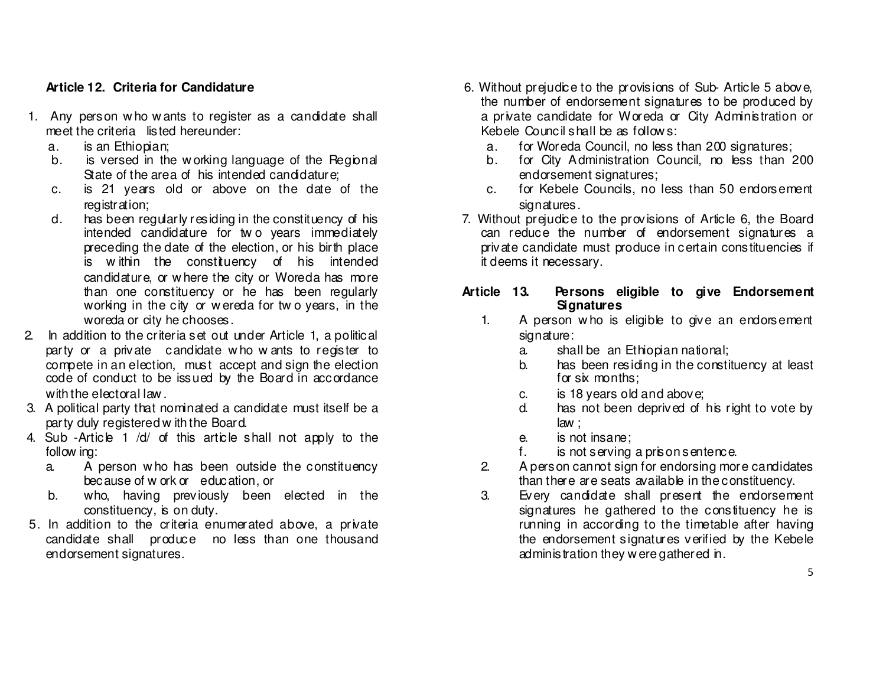#### **Article 12. Criteria for Candidature**

- 1. Any person w ho w ants to register as a candidate shall meet the criteria listed hereunder:
	- a. is an Ethiopian;
	- b. is versed in the working language of the Regional State of the area of his intended candidature;
	- c. is 21 years old or above on the date of the registration;
	- d. has been regularly residing in the constituency of his intended candidature for tw o years immediately preceding the date of the election, or his birth place is w ithin the constituency of his intended candidature, or w here the city or Woreda has more than one constituency or he has been regularly working in the city or w ereda for tw o years, in theworeda or city he chooses.
- 2. In addition to the criteria set out under Article 1, a political party or a private candidate w ho w ants to register to compete in an election, must accept and sign the election code of conduct to be issued by the Board in accordance with the electoral law.
- 3. A political party that nominated a candidate must itself be a party duly registered w ith the Board.
- 4. Sub -Article 1 /d/ of this article shall not apply to the follow ing:
	- a. A person w ho has been outside the constituency because of w ork or education, or
	- b. who, having previously been elected in the constituency, is on duty.
- 5. In addition to the criteria enumerated above, a private candidate shall produce no less than one thousandendorsement signatures.
- 6. Without prejudice to the provisions of Sub- Article 5 above, the number of endorsement signatures to be produced by a private candidate for Woreda or City Administration or Kebele Council shall be as follow s:
	- a. for Woreda Council, no less than 200 signatures;
	- b. for City Administration Council, no less than 200 endorsement signatures;
	- c. for Kebele Councils, no less than 50 endorsement signatures.
- 7. Without prejudice to the provisions of Article 6, the Board can reduce the number of endorsement signatures a private candidate must produce in certain constituencies if it deems it necessary.

#### **Article 13. Persons eligible to give Endorsement Signatures**

- 1. A person who is eligible to give an endorsement signature:
	- a. shall be an Ethiopian national;
	- b. has been residing in the constituency at least for six months;
	- c. is 18 years old and above;
	- d. has not been deprived of his right to vote by law ;
	- e. is not insane;
	- f. is not serving a prison sentence.
- 2. A person cannot sign for endorsing more candidates than there are seats available in the constituency.
- 3. Every candidate shall present the endorsement signatures he gathered to the constituency he is running in according to the timetable after having the endorsement signatures verified by the Kebele administration they w ere gathered in.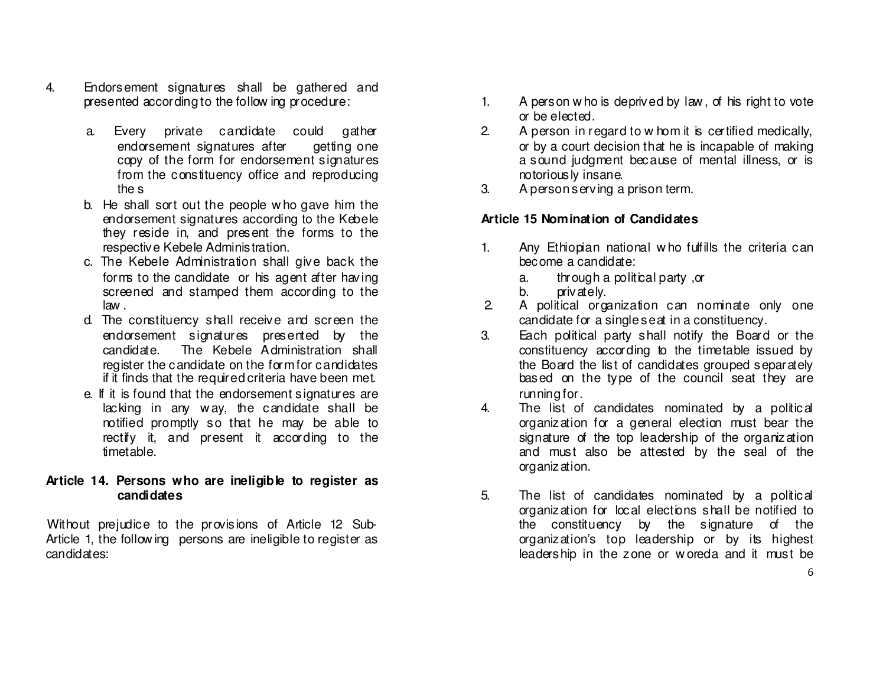- 4. Endorsement signatures shall be gathered and presented according to the follow ing procedure:
	- a. Every private candidate could gather endorsement signatures after getting one copy of the form for endorsement signatures from the constituency office and reproducing the s
	- b. He shall sort out the people w ho gave him the endorsement signatures according to the Kebele they reside in, and present the forms to the respective Kebele Administration.
	- c. The Kebele Administration shall give back the forms to the candidate or his agent after having screened and stamped them according to the law .
	- d. The constituency shall receive and screen the endorsement signatures presented by the candidate. The Kebele Administration shall register the candidate on the form for candidates if it finds that the required criteria have been met.
	- e. If it is found that the endorsement signatures are lacking in any w ay, the candidate shall be notified promptly so that he may be able to rectify it, and present it according to the timetable.

#### **Article 14. Persons who are ineligible to register as candidates**

 Without prejudice to the provisions of Article 12 Sub-Article 1, the following persons are ineligible to register as candidates:

- 1. A person w ho is deprived by law , of his right to vote or be elected.
- 2. A person in regard to w hom it is certified medically, or by a court decision that he is incapable of making a sound judgment because of mental illness, or is notoriously insane.
- 3. A person serving a prison term.

### **Article 15 Nomination of Candidates**

- 1. Any Ethiopian national w ho fulfills the criteria can become a candidate:
	- a. through a political party ,or
	- b. privately.
- 2. A political organization can nominate only onecandidate for a single seat in a constituency.
- 3. Each political party shall notify the Board or the constituency according to the timetable issued by the Board the list of candidates grouped separately based on the type of the council seat they are running for.
- 4. The list of candidates nominated by a political organization for a general election must bear the signature of the top leadership of the organization and must also be attested by the seal of the organization.
- 5. The list of candidates nominated by a political organization for local elections shall be notified to the constituency by the signature of the organization's top leadership or by its highest leadership in the zone or w oreda and it must be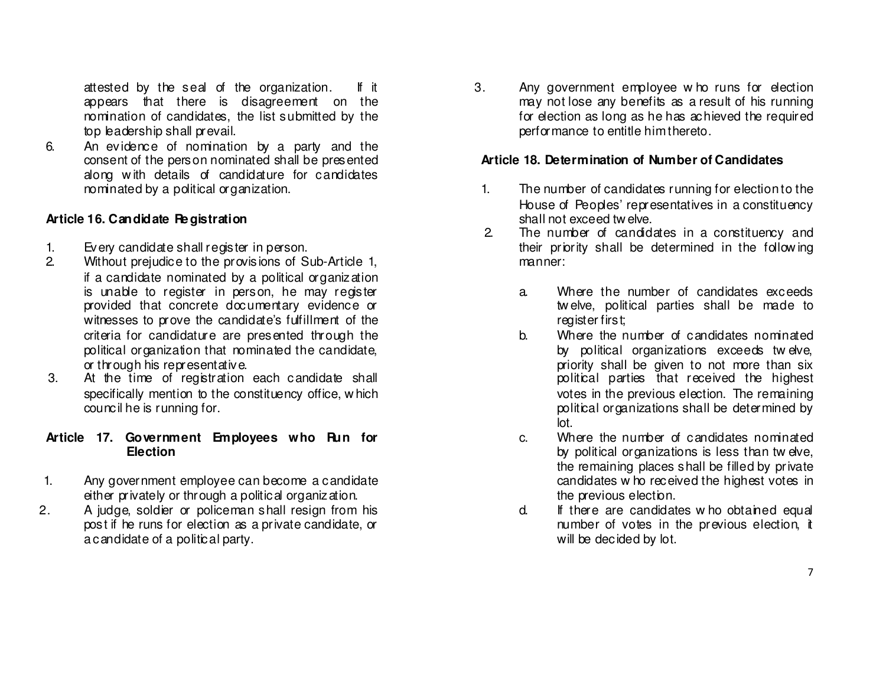attested by the seal of the organization. If it appears that there is disagreement on the nomination of candidates, the list submitted by thetop leadership shall prevail.

 6. An evidence of nomination by a party and the consent of the person nominated shall be presented along w ith details of candidature for candidates nominated by a political organization.

### **Article 16. Candidate Re gistration**

- 1. Every candidate shall register in person.
- 2. Without prejudice to the provisions of Sub-Article 1, if a candidate nominated by a political organization is unable to register in person, he may register provided that concrete documentary evidence or witnesses to prove the candidate's fulfillment of the criteria for candidature are presented through the political organization that nominated the candidate, or through his representative.
- 3. At the time of registration each candidate shall specifically mention to the constituency office, w hich council he is running for.

### **Article 17. Government Employees who Run for Election**

- 1. Any government employee can become a candidate either privately or through a political organization.
- 2. A judge, soldier or policeman shall resign from his post if he runs for election as a private candidate, or a candidate of a political party.

 3. Any government employee w ho runs for election may not lose any benefits as a result of his running for election as long as he has achieved the required performance to entitle him thereto.

## **Article 18. Determination of Number of Candidates**

- 1. The number of candidates running for election to the House of Peoples' representatives in a constituencyshall not exceed tw elve.
- 2. The number of candidates in a constituency and their priority shall be determined in the follow ingmanner:
	- a. Where the number of candidates exceeds tw elve, political parties shall be made to register first;
	- b. Where the number of candidates nominated by political organizations exceeds tw elve, priority shall be given to not more than six political parties that received the highest votes in the previous election. The remaining political organizations shall be determined by lot.
	- c. Where the number of candidates nominated by political organizations is less than tw elve, the remaining places shall be filled by private candidates w ho received the highest votes in the previous election.
	- d. If there are candidates w ho obtained equal number of votes in the previous election, it will be decided by lot.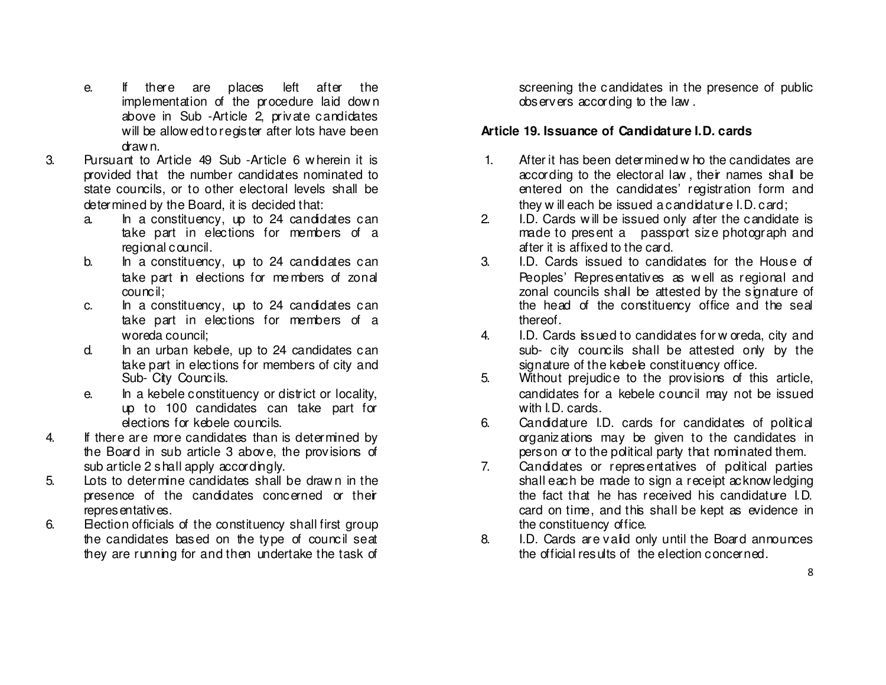- e. If there are places left after the implementation of the procedure laid dow <sup>n</sup> above in Sub -Article 2, private candidates will be allow ed to register after lots have been draw n.
- 3. Pursuant to Article 49 Sub -Article 6 w herein it is provided that the number candidates nominated to state councils, or to other electoral levels shall be determined by the Board, it is decided that:
	- a. In a constituency, up to 24 candidates can take part in elections for members of a regional council.
	- b. In a constituency, up to 24 candidates can take part in elections for me mbers of zonal council;
	- c. In a constituency, up to 24 candidates can take part in elections for members of a woreda council;
	- d. In an urban kebele, up to 24 candidates can take part in elections for members of city and Sub- City Councils.
	- e. In a kebele constituency or district or locality, up to 100 candidates can take part for elections for kebele councils.
- 4. If there are more candidates than is determined by the Board in sub article 3 above, the provisions ofsub article 2 shall apply accordingly.
- 5. Lots to determine candidates shall be draw n in the presence of the candidates concerned or their representatives.
- 6. Election officials of the constituency shall first group the candidates based on the type of council seat they are running for and then undertake the task of

screening the candidates in the presence of public observers according to the law .

#### **Article 19. Issuance of Candidature I.D. cards**

- 1. After it has been determined w ho the candidates are according to the electoral law , their names shall be entered on the candidates' registration form and they w ill each be issued a candidature I.D. card;
- 2. I.D. Cards w ill be issued only after the candidate is made to present a passport size photograph and after it is affixed to the card.
- 3. I.D. Cards issued to candidates for the House of Peoples' Representatives as w ell as regional and zonal councils shall be attested by the signature of the head of the constituency office and the seal thereof.
- 4. I.D. Cards issued to candidates for w oreda, city and sub- city councils shall be attested only by the signature of the kebele constituency office.
- 5. Without prejudice to the provisions of this article, candidates for a kebele council may not be issued with I.D. cards.
- 6. Candidature I.D. cards for candidates of political organizations may be given to the candidates in person or to the political party that nominated them.
- 7. Candidates or representatives of political parties shall each be made to sign a receipt acknow ledging the fact that he has received his candidature I.D. card on time, and this shall be kept as evidence inthe constituency office.
- 8. I.D. Cards are valid only until the Board announces the official results of the election concerned.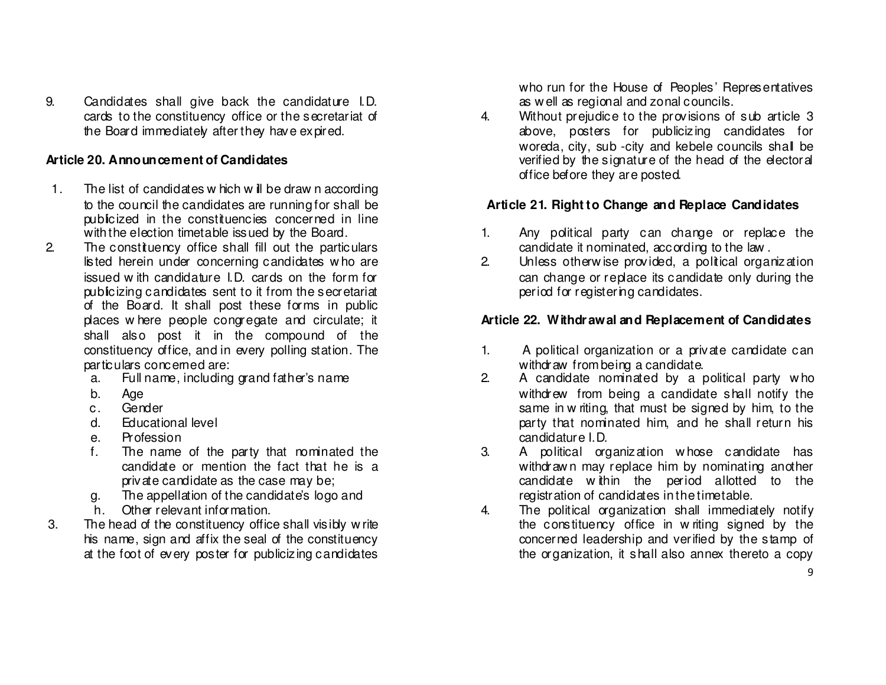9. Candidates shall give back the candidature I.D. cards to the constituency office or the secretariat of the Board immediately after they have expired.

### **Article 20. Announcement of Candidates**

- 1. The list of candidates w hich w ill be draw n according to the council the candidates are running for shall be publicized in the constituencies concerned in line with the election timetable issued by the Board.
- 2. The constituency office shall fill out the particulars listed herein under concerning candidates w ho are issued w ith candidature I.D. cards on the form for publicizing candidates sent to it from the secretariat of the Board. It shall post these forms in public places w here people congregate and circulate; it shall also post it in the compound of the constituency office, and in every polling station. The particulars concerned are:
- a. Full name, including grand father's name
	- b. Age
- c. Gender
- d. Educational level
	- e. Profession
- f. The name of the party that nominated the candidate or mention the fact that he is a private candidate as the case may be;
	- g. The appellation of the candidate's logo and
		- h. Other relevant information.
	- 3. The head of the constituency office shall visibly w rite his name, sign and affix the seal of the constituency at the foot of every poster for publicizing candidates

who run for the House of Peoples' Representatives as w ell as regional and zonal councils.

4. Without prejudice to the provisions of sub article 3 above, posters for publicizing candidates for woreda, city, sub -city and kebele councils shall be verified by the signature of the head of the electoral office before they are posted.

## **Article 21. Right to Change and Replace Candidates**

- 1. Any political party can change or replace the candidate it nominated, according to the law .
- 2. Unless otherw ise provided, a political organization can change or replace its candidate only during theperiod for registering candidates.

## **Article 22. Withdr awal and Replacement of Candidates**

- 1. A political organization or a private candidate can withdraw from being a candidate.
- 2. A candidate nominated by a political party w ho withdrew from being a candidate shall notify the same in w riting, that must be signed by him, to the party that nominated him, and he shall return his candidature I.D.
- 3. A political organization w hose candidate has withdrawn may replace him by nominating another candidate w ithin the period allotted to the registration of candidates in the timetable.
- 4. The political organization shall immediately notify the constituency office in w riting signed by the concerned leadership and verified by the stamp of the organization, it shall also annex thereto a copy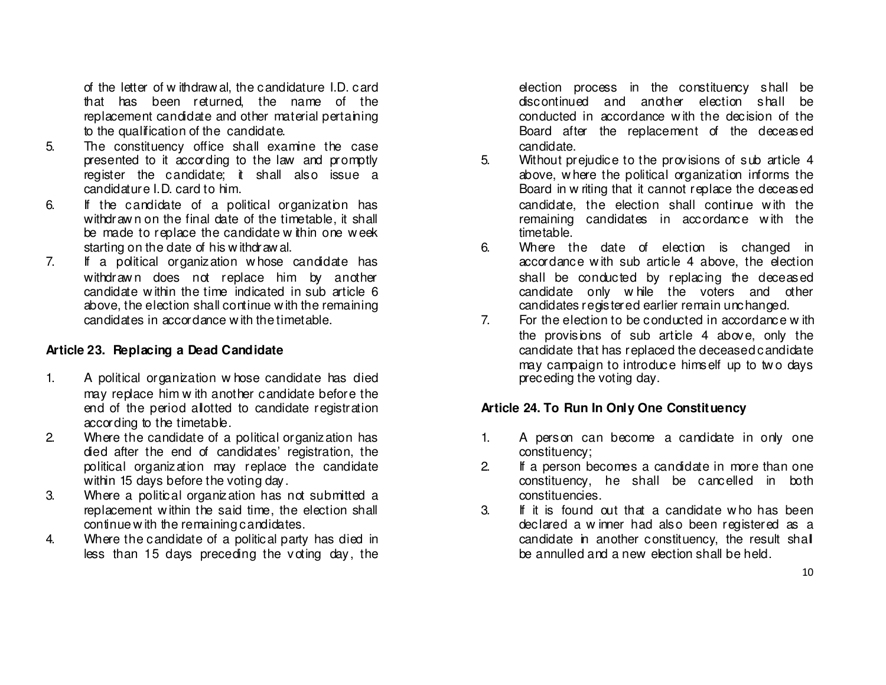of the letter of w ithdraw al, the candidature I.D. card that has been returned, the name of the replacement candidate and other material pertaining to the qualification of the candidate.

- 5. The constituency office shall examine the case presented to it according to the law and promptly register the candidate; it shall also issue a candidature I.D. card to him.
- 6. If the candidate of a political organization has withdraw n on the final date of the timetable, it shall be made to replace the candidate w thin one week starting on the date of his w ithdraw al.
- 7. If a political organization w hose candidate has withdraw n does not replace him by another candidate w ithin the time indicated in sub article 6 above, the election shall continue w ith the remaining candidates in accordance w ith the timetable.

### **Article 23. Replacing a Dead Candidate**

- 1. A political organization w hose candidate has died may replace him w ith another candidate before the end of the period allotted to candidate registration according to the timetable.
- 2. Where the candidate of a political organization has died after the end of candidates' registration, the political organization may replace the candidate within 15 days before the voting day.
- 3. Where a political organization has not submitted a replacement w ithin the said time, the election shall continue w ith the remaining candidates.
- 4. Where the candidate of a political party has died in less than 15 days preceding the voting day, the

election process in the constituency shall be discontinued and another election shall be conducted in accordance w ith the decision of the Board after the replacement of the deceased candidate.

- 5. Without prejudice to the provisions of sub article 4 above, w here the political organization informs the Board in w riting that it cannot replace the deceased candidate, the election shall continue w ith the remaining candidates in accordance w ith the timetable.
- 6. Where the date of election is changed in accordance w ith sub article 4 above, the election shall be conducted by replacing the deceased candidate only w hile the voters and other candidates registered earlier remain unchanged.
- 7. For the election to be conducted in accordance w ith the provisions of sub article 4 above, only the candidate that has replaced the deceased candidate may campaign to introduce himself up to tw o days preceding the voting day.

### **Article 24. To Run In Only One Constituency**

- 1. A person can become a candidate in only one constituency;
- 2. If a person becomes a candidate in more than one constituency, he shall be cancelled in both constituencies.
- 3. If it is found out that a candidate w ho has been declared a w inner had also been registered as a candidate in another constituency, the result shallbe annulled and a new election shall be held.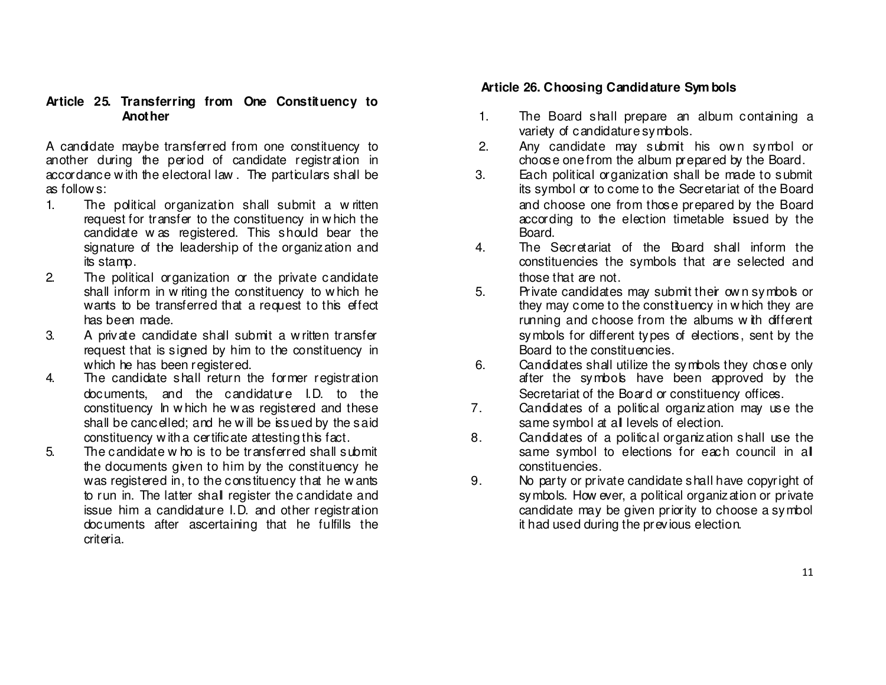#### **Article 25. Transferring from One Constituency to Another**

A candidate maybe transferred from one constituency to another during the period of candidate registration in accordance w ith the electoral law . The particulars shall be as follow s:

- 1. The political organization shall submit a w ritten request for transfer to the constituency in w hich the candidate w as registered. This should bear the signature of the leadership of the organization andits stamp.
- 2. The political organization or the private candidate shall inform in w riting the constituency to w hich he wants to be transferred that a request to this effect has been made.
- 3. A private candidate shall submit a w ritten transfer request that is signed by him to the constituency in which he has been registered.
- 4. The candidate shall return the former registration documents, and the candidature I.D. to the constituency In w hich he w as registered and these shall be cancelled; and he w ill be issued by the said constituency w ith a certificate attesting this fact.
- 5. The candidate w ho is to be transferred shall submit the documents given to him by the constituency he was registered in, to the constituency that he w ants to run in. The latter shall register the candidate and issue him a candidature I.D. and other registration documents after ascertaining that he fulfills the criteria.

#### **Article 26. Choosing Candidature Sym bols**

- 1. The Board shall prepare an album containing a variety of candidature symbols.
- 2. Any candidate may submit his own symbol or choose one from the album prepared by the Board.
- 3. Each political organization shall be made to submit its symbol or to come to the Secretariat of the Board and choose one from those prepared by the Board according to the election timetable issued by the Board.
- 4. The Secretariat of the Board shall inform the constituencies the symbols that are selected and those that are not.
- 5. Private candidates may submit their own symbols or they may come to the constituency in w hich they are running and choose from the albums w ith different symbols for different types of elections, sent by the Board to the constituencies.
- 6. Candidates shall utilize the symbols they chose only after the symbols have been approved by the Secretariat of the Board or constituency offices.
- 7. Candidates of a political organization may use the same symbol at all levels of election.
- 8. Candidates of a political organization shall use the same symbol to elections for each council in all constituencies.
- 9. No party or private candidate shall have copyright of symbols. How ever, a political organization or private candidate may be given priority to choose a symbol it had used during the previous election.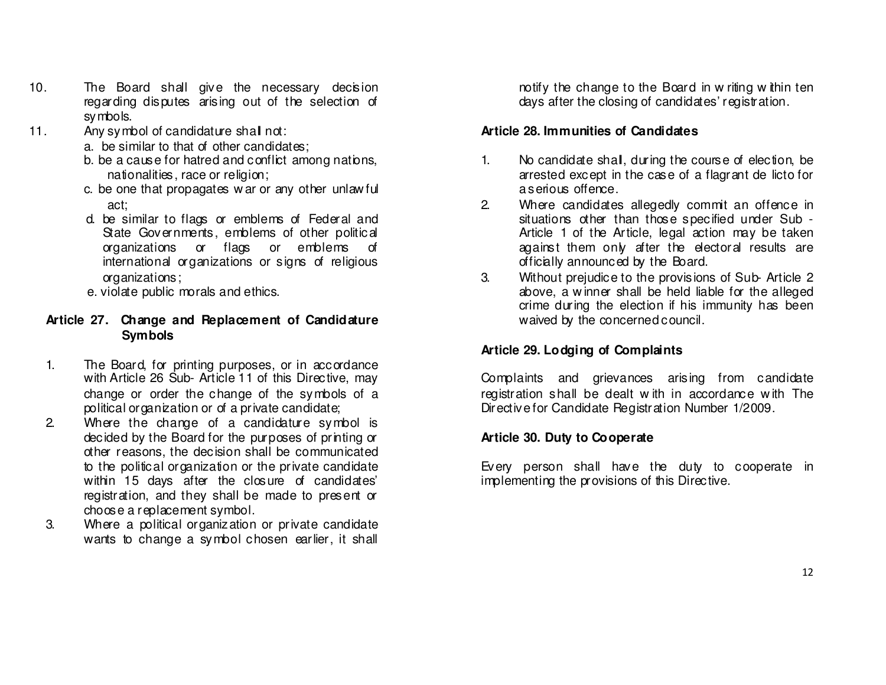- 10. The Board shall give the necessary decision regarding disputes arising out of the selection of symbols.
- 11. Any symbol of candidature shall not:
	- a. be similar to that of other candidates;
	- b. be a cause for hatred and conflict among nations, nationalities, race or religion;
	- c. be one that propagates w ar or any other unlaw ful act;
		- d. be similar to flags or emblems of Federal and State Governments, emblems of other political organizations or flags or emblems of international organizations or signs of religious organizations;
	- e. violate public morals and ethics.

### **Article 27. Change and Replacement of Candidature Symbols**

- 1. The Board, for printing purposes, or in accordance with Article 26 Sub- Article 11 of this Directive, may change or order the change of the symbols of a political organization or of a private candidate;
- 2. Where the change of a candidature symbol is decided by the Board for the purposes of printing or other reasons, the decision shall be communicated to the political organization or the private candidate within 15 days after the closure of candidates' registration, and they shall be made to present or choose a replacement symbol.
- 3. Where a political organization or private candidate wants to change a symbol chosen earlier, it shall

notify the change to the Board in w riting w thin ten days after the closing of candidates' registration.

#### **Article 28. Immunities of Candidates**

- 1. No candidate shall, during the course of election, be arrested except in the case of a flagrant de licto for a serious offence.
- 2. Where candidates allegedly commit an offence in situations other than those specified under Sub - Article 1 of the Article, legal action may be taken against them only after the electoral results are officially announced by the Board.
- 3. Without prejudice to the provisions of Sub- Article 2 above, a w inner shall be held liable for the alleged crime during the election if his immunity has been waived by the concerned council.

## **Article 29. Lodging of Complaints**

Complaints and grievances arising from candidate registration shall be dealt w ith in accordance w ith The Directive for Candidate Registration Number 1/2009.

#### **Article 30. Duty to Cooperate**

Every person shall have the duty to cooperate in implementing the provisions of this Directive.